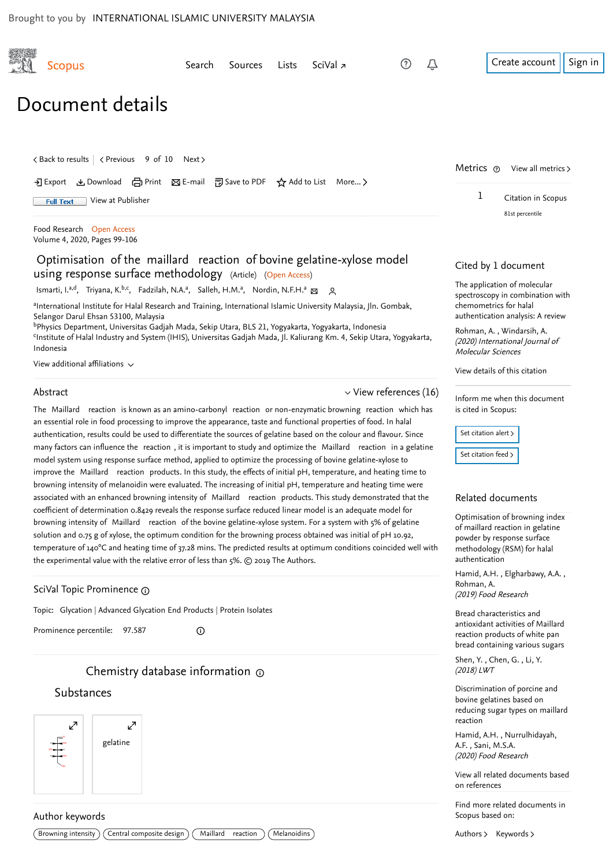<span id="page-0-1"></span>

|  | <b>Scopus</b>                                                                                                                                                                                                                                                                              | Search | Sources | Lists | SciVal $\overline{z}$ | (?) | Û                   |                                                                  | Create account                                              | Sign in |
|--|--------------------------------------------------------------------------------------------------------------------------------------------------------------------------------------------------------------------------------------------------------------------------------------------|--------|---------|-------|-----------------------|-----|---------------------|------------------------------------------------------------------|-------------------------------------------------------------|---------|
|  | Document details                                                                                                                                                                                                                                                                           |        |         |       |                       |     |                     |                                                                  |                                                             |         |
|  | くBack to results   くPrevious 9 of 10 Next ><br>→ Export & Download 금 Print ⊠ E-mail 可 Save to PDF ☆ Add to List More ><br>View at Publisher<br><b>Full Text</b>                                                                                                                            |        |         |       |                       |     |                     | Metrics ®<br>1                                                   | View all metrics ><br>Citation in Scopus                    |         |
|  | Food Research Open Access<br>Volume 4, 2020, Pages 99-106                                                                                                                                                                                                                                  |        |         |       |                       |     |                     |                                                                  | 81st percentile                                             |         |
|  | Optimisation of the maillard reaction of bovine gelatine-xylose model<br>using response surface methodology (Article) (Open Access)<br>Ismarti, I. <sup>a,d</sup> , Triyana, K. <sup>b,c</sup> , Fadzilah, N.A. <sup>a</sup> , Salleh, H.M. <sup>a</sup> , Nordin, N.F.H. <sup>a</sup> & Q |        |         |       |                       |     | Cited by 1 document |                                                                  |                                                             |         |
|  |                                                                                                                                                                                                                                                                                            |        |         |       |                       |     |                     | The application of molecular<br>spectroscopy in combination with |                                                             |         |
|  | <sup>a</sup> International Institute for Halal Research and Training, International Islamic University Malaysia, Jln. Gombak,<br>Selangor Darul Ehsan 53100, Malaysia                                                                                                                      |        |         |       |                       |     |                     |                                                                  | chemometrics for halal<br>authentication analysis: A review |         |

<sup>b</sup>Physics Department, Universitas Gadjah Mada, Sekip Utara, BLS 21, Yogyakarta, Yogyakarta, Indonesia <sup>c</sup>Institute of Halal Industry and System (IHIS), Universitas Gadjah Mada, Jl. Kaliurang Km. 4, Sekip Utara, Yogyakarta, Indonesia

View additional affiliations  $\sim$ 

#### Abstract

 $\mathcal{R}^{\prime}$ 

<span id="page-0-0"></span> $\vee$  [View references \(16\)](#page-1-0)

The Maillard reaction is known as an amino-carbonyl reaction or non-enzymatic browning reaction which has an essential role in food processing to improve the appearance, taste and functional properties of food. In halal authentication, results could be used to differentiate the sources of gelatine based on the colour and flavour. Since many factors can influence the reaction , it is important to study and optimize the Maillard reaction in a gelatine model system using response surface method, applied to optimize the processing of bovine gelatine-xylose to improve the Maillard reaction products. In this study, the effects of initial pH, temperature, and heating time to browning intensity of melanoidin were evaluated. The increasing of initial pH, temperature and heating time were associated with an enhanced browning intensity of Maillard reaction products. This study demonstrated that the coefficient of determination 0.8429 reveals the response surface reduced linear model is an adequate model for browning intensity of Maillard reaction of the bovine gelatine-xylose system. For a system with 5% of gelatine solution and 0.75 g of xylose, the optimum condition for the browning process obtained was initial of  $pH$  10.92, temperature of 140°C and heating time of 37.28 mins. The predicted results at optimum conditions coincided well with the experimental value with the relative error of less than  $5\%$ .  $\odot$  2019 The Authors.

#### SciVal Topic Prominence

Topic: Glycation | Advanced Glycation End Products | Protein Isolates

Prominence percentile: 97.587

# Chemistry database information

 $\bigcirc$ 

### Substances



#### Author keywords

[Authors](https://www-scopus-com.ezlib.iium.edu.my/search/submit/mlt.uri?eid=2-s2.0-85081050141&src=s&all=true&origin=recordpage&method=aut&zone=relatedDocuments) > [Keywords](https://www-scopus-com.ezlib.iium.edu.my/search/submit/mlt.uri?eid=2-s2.0-85081050141&src=s&all=true&origin=recordpage&method=key&zone=relatedDocuments) >



, [Rohman, A.](https://www-scopus-com.ezlib.iium.edu.my/authid/detail.uri?origin=citedby&authorId=32668020600&zone=) [Windarsih, A.](https://www-scopus-com.ezlib.iium.edu.my/authid/detail.uri?origin=citedby&authorId=57006764700&zone=) (2020) International Journal of

[View details of this citation](https://www-scopus-com.ezlib.iium.edu.my/search/submit/citedby.uri?eid=2-s2.0-85081050141&src=s&origin=recordpage)

Inform me when this document

Molecular Sciences

is cited in Scopus:

Set citation alert >

[Set citation feed](https://www-scopus-com.ezlib.iium.edu.my/results/rss/handler.uri?citeEid=2-s2.0-85081050141) >

[Optimisation of browning index](https://www-scopus-com.ezlib.iium.edu.my/record/display.uri?origin=recordpage&zone=relatedDocuments&eid=2-s2.0-85068393601&citeCnt=1&noHighlight=false&sort=plf-f&src=s&st1=Optimisation+of+the+Maillard+reaction&nlo=&nlr=&nls=&sid=ea07aa94a2516b9675f0daef70889194&sot=b&sdt=cl&cluster=scopubyr%2c%222020%22%2ct&sl=52&s=TITLE-ABS-KEY%28Optimisation+of+the+Maillard+reaction%29&relpos=0) of maillard reaction in gelatine powder by response surface methodology (RSM) for halal authentication

Hamid,A.H., Elgharbawy, A.A., (2019) Food Research [Rohman, A.](https://www-scopus-com.ezlib.iium.edu.my/authid/detail.uri?origin=recordpage&authorId=32668020600&zone=relatedDocuments)

Bread characteristics and [antioxidant activities of Maillard](https://www-scopus-com.ezlib.iium.edu.my/record/display.uri?origin=recordpage&zone=relatedDocuments&eid=2-s2.0-85046721515&citeCnt=1&noHighlight=false&sort=plf-f&src=s&st1=Optimisation+of+the+Maillard+reaction&nlo=&nlr=&nls=&sid=ea07aa94a2516b9675f0daef70889194&sot=b&sdt=cl&cluster=scopubyr%2c%222020%22%2ct&sl=52&s=TITLE-ABS-KEY%28Optimisation+of+the+Maillard+reaction%29&relpos=1) reaction products of white pan bread containing various sugars

,, [Shen, Y.](https://www-scopus-com.ezlib.iium.edu.my/authid/detail.uri?origin=recordpage&authorId=57094335600&zone=relatedDocuments) Chen, G. [Li, Y.](https://www-scopus-com.ezlib.iium.edu.my/authid/detail.uri?origin=recordpage&authorId=34868237400&zone=relatedDocuments) (2018) LWT

Discrimination of porcine and bovine gelatines based on [reducing sugar types on maillard](https://www-scopus-com.ezlib.iium.edu.my/record/display.uri?origin=recordpage&zone=relatedDocuments&eid=2-s2.0-85078360454&citeCnt=1&noHighlight=false&sort=plf-f&src=s&st1=Optimisation+of+the+Maillard+reaction&nlo=&nlr=&nls=&sid=ea07aa94a2516b9675f0daef70889194&sot=b&sdt=cl&cluster=scopubyr%2c%222020%22%2ct&sl=52&s=TITLE-ABS-KEY%28Optimisation+of+the+Maillard+reaction%29&relpos=2) reaction

, [Hamid, A.H.](https://www-scopus-com.ezlib.iium.edu.my/authid/detail.uri?origin=recordpage&authorId=57209657280&zone=relatedDocuments) [Nurrulhidayah,](https://www-scopus-com.ezlib.iium.edu.my/authid/detail.uri?origin=recordpage&authorId=56716257500&zone=relatedDocuments) , A.F. [Sani, M.S.A.](https://www-scopus-com.ezlib.iium.edu.my/authid/detail.uri?origin=recordpage&authorId=57213587007&zone=relatedDocuments) (2020) Food Research

[View all related documents based](https://www-scopus-com.ezlib.iium.edu.my/search/submit/mlt.uri?eid=2-s2.0-85081050141&src=s&all=true&origin=recordpage&method=ref&zone=relatedDocuments) on references

Find more related documents in Scopus based on: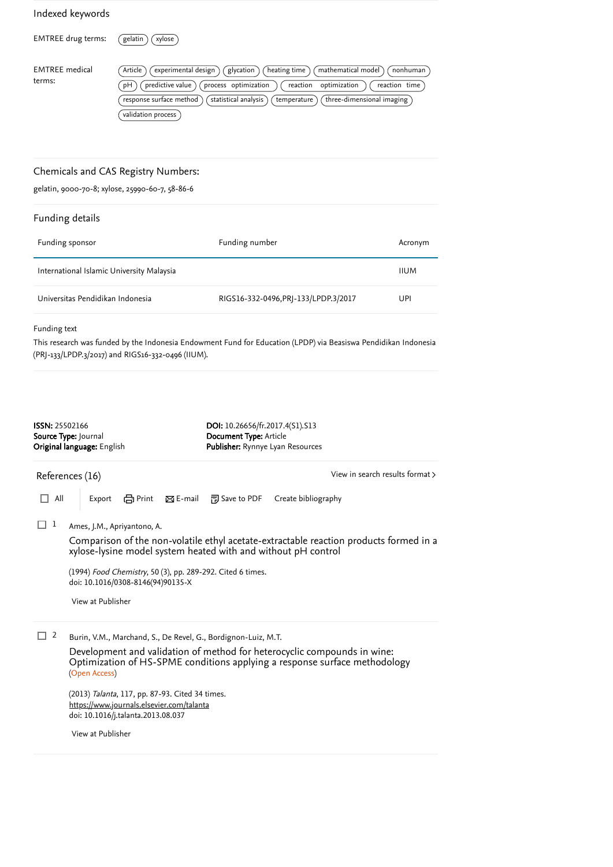## $8.11$  and details  $\frac{1}{2}$  and  $\frac{1}{2}$  and  $\frac{1}{2}$  and  $\frac{1}{2}$  and  $\frac{1}{2}$  and  $\frac{1}{2}$  and  $\frac{1}{2}$  and  $\frac{1}{2}$  and  $\frac{1}{2}$  and  $\frac{1}{2}$  and  $\frac{1}{2}$  and  $\frac{1}{2}$  and  $\frac{1}{2}$  and  $\frac{1}{2}$  and  $\frac{1}{$ Indexed keywords  $EMTREE$  drug terms:  $(gelatin)(xylose)$ EMTREE medical terms:  $\overline{(Article)$   $\overline{(experimental design)}$   $\overline{(glycation)}$   $\overline{(heating time)}$   $\overline{(mathematical model)}$   $\overline{(nonhuman)}$  $\overline{p}(\overline{pH})$   $\overline{p}$  predictive value  $\overline{p}$  process optimization  $\overline{p}$  reaction optimization  $\overline{p}$  reaction time  $(\overline{\mathit{response}}\text{ surface method})$   $(\overline{\mathit{statistical}}\text{ analysis})$   $(\overline{\mathit{temperature}})$   $(\overline{\mathit{three-dimensional}}\text{ imaging})$ validation process Chemicals and CAS Registry Numbers: gelatin, 9000-70-8; xylose, 25990-60-7, 58-86-6

# Funding details Funding sponsor **Funding in the State State State State State State State State State State State State Acronym** International Islamic University Malaysia **IIII and Communist Communist Communist** IIUM Universitas Pendidikan Indonesia RIGS16-332-0496,PRJ-133/LPDP.3/2017 UPI

Funding text

This research was funded by the Indonesia Endowment Fund for Education (LPDP) via Beasiswa Pendidikan Indonesia (PRJ-133/LPDP.3/2017) and RIGS16-332-0496 (IIUM).

<span id="page-1-0"></span>

| ISSN: 25502166 | Source Type: Journal<br>Original language: English                                                                                 |                    | DOI: 10.26656/fr.2017.4(S1).S13<br>Document Type: Article<br>Publisher: Rynnye Lyan Resources |                     |                                                                                        |
|----------------|------------------------------------------------------------------------------------------------------------------------------------|--------------------|-----------------------------------------------------------------------------------------------|---------------------|----------------------------------------------------------------------------------------|
|                | References (16)                                                                                                                    |                    |                                                                                               |                     | View in search results format >                                                        |
| All            | - en Print<br>Export                                                                                                               | $\boxtimes$ E-mail | 闸 Save to PDF                                                                                 | Create bibliography |                                                                                        |
| 1              | Ames, J.M., Apriyantono, A.                                                                                                        |                    |                                                                                               |                     |                                                                                        |
|                | xylose-lysine model system heated with and without pH control                                                                      |                    |                                                                                               |                     | Comparison of the non-volatile ethyl acetate-extractable reaction products formed in a |
|                | (1994) Food Chemistry, 50 (3), pp. 289-292. Cited 6 times.<br>doi: 10.1016/0308-8146(94)90135-X                                    |                    |                                                                                               |                     |                                                                                        |
|                | View at Publisher                                                                                                                  |                    |                                                                                               |                     |                                                                                        |
| 2              | Burin, V.M., Marchand, S., De Revel, G., Bordignon-Luiz, M.T.                                                                      |                    |                                                                                               |                     |                                                                                        |
|                | Development and validation of method for heterocyclic compounds in wine:<br>(Open Access)                                          |                    |                                                                                               |                     | Optimization of HS-SPME conditions applying a response surface methodology             |
|                | (2013) Talanta, 117, pp. 87-93. Cited 34 times.<br>https://www.journals.elsevier.com/talanta<br>doi: 10.1016/j.talanta.2013.08.037 |                    |                                                                                               |                     |                                                                                        |
|                | View at Publisher                                                                                                                  |                    |                                                                                               |                     |                                                                                        |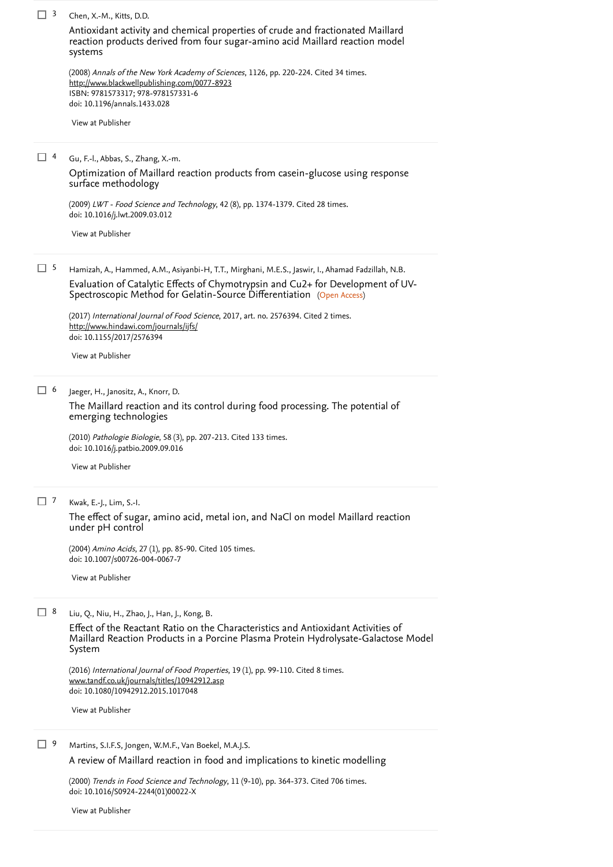| $\Box$ 3   | Chen, X.-M., Kitts, D.D.                                                                                                                                                          |
|------------|-----------------------------------------------------------------------------------------------------------------------------------------------------------------------------------|
|            | Antioxidant activity and chemical properties of crude and fractionated Maillard<br>reaction products derived from four sugar-amino acid Maillard reaction model<br>systems        |
|            | (2008) Annals of the New York Academy of Sciences, 1126, pp. 220-224. Cited 34 times.<br>http://www.blackwellpublishing.com/0077-8923                                             |
|            | ISBN: 9781573317; 978-978157331-6<br>doi: 10.1196/annals.1433.028                                                                                                                 |
|            | View at Publisher                                                                                                                                                                 |
| 4          | Gu, F.-l., Abbas, S., Zhang, X.-m.                                                                                                                                                |
|            | Optimization of Maillard reaction products from casein-glucose using response<br>surface methodology                                                                              |
|            | (2009) LWT - Food Science and Technology, 42 (8), pp. 1374-1379. Cited 28 times.<br>doi: 10.1016/j.lwt.2009.03.012                                                                |
|            | View at Publisher                                                                                                                                                                 |
| $\Box$ 5   | Hamizah, A., Hammed, A.M., Asiyanbi-H, T.T., Mirghani, M.E.S., Jaswir, I., Ahamad Fadzillah, N.B.                                                                                 |
|            | Evaluation of Catalytic Effects of Chymotrypsin and Cu2+ for Development of UV-<br>Spectroscopic Method for Gelatin-Source Differentiation (Open Access)                          |
|            | (2017) International Journal of Food Science, 2017, art. no. 2576394. Cited 2 times.                                                                                              |
|            | http://www.hindawi.com/journals/ijfs/<br>doi: 10.1155/2017/2576394                                                                                                                |
|            | View at Publisher                                                                                                                                                                 |
| <b>□ 6</b> | Jaeger, H., Janositz, A., Knorr, D.                                                                                                                                               |
|            | The Maillard reaction and its control during food processing. The potential of<br>emerging technologies                                                                           |
|            | (2010) Pathologie Biologie, 58 (3), pp. 207-213. Cited 133 times.<br>doi: 10.1016/j.patbio.2009.09.016                                                                            |
|            | View at Publisher                                                                                                                                                                 |
| $\Box$ 7   | Kwak, E.-J., Lim, S.-I.                                                                                                                                                           |
|            | The effect of sugar, amino acid, metal ion, and NaCl on model Maillard reaction<br>under pH control                                                                               |
|            | (2004) Amino Acids, 27 (1), pp. 85-90. Cited 105 times.<br>doi: 10.1007/s00726-004-0067-7                                                                                         |
|            | View at Publisher                                                                                                                                                                 |
| $\Box$ 8   | Liu, Q., Niu, H., Zhao, J., Han, J., Kong, B.                                                                                                                                     |
|            | Effect of the Reactant Ratio on the Characteristics and Antioxidant Activities of<br>Maillard Reaction Products in a Porcine Plasma Protein Hydrolysate-Galactose Model<br>System |
|            | (2016) International Journal of Food Properties, 19 (1), pp. 99-110. Cited 8 times.<br>www.tandf.co.uk/journals/titles/10942912.asp<br>doi: 10.1080/10942912.2015.1017048         |
|            |                                                                                                                                                                                   |

<sup>9</sup> Martins, S.I.F.S, Jongen, W.M.F., Van Boekel, M.A.J.S.

A review of Maillard reaction in [food and implications to kinetic modelling](https://www-scopus-com.ezlib.iium.edu.my/record/display.uri?eid=2-s2.0-0034633083&origin=reflist&sort=plf-f&src=s&st1=Optimisation+of+the+Maillard+reaction&nlo=&nlr=&nls=&sid=ea07aa94a2516b9675f0daef70889194&sot=b&sdt=cl&cluster=scopubyr%2c%222020%22%2ct&sl=52&s=TITLE-ABS-KEY%28Optimisation+of+the+Maillard+reaction%29&recordRank=)

(2000) *Trends in Food Science and Technology*, 11 (9-10), pp. 364-373. Cited 706 times. doi: 10.1016/S0924-2244(01)00022-X [Cited 706 times](https://www-scopus-com.ezlib.iium.edu.my/search/submit/citedby.uri?eid=2-s2.0-85081050141&refeid=2-s2.0-0034633083&src=s&origin=reflist&refstat=core)

[View at Publisher](https://www-scopus-com.ezlib.iium.edu.my/redirect/linking.uri?targetURL=https%3a%2f%2fdoi.org%2f10.1016%2fS0924-2244%2801%2900022-X&locationID=3&categoryID=4&eid=2-s2.0-0034633083&issn=09242244&linkType=ViewAtPublisher&year=2000&origin=reflist&dig=5bbf5703c2cf5f8f04113da6f48888ee&recordRank=)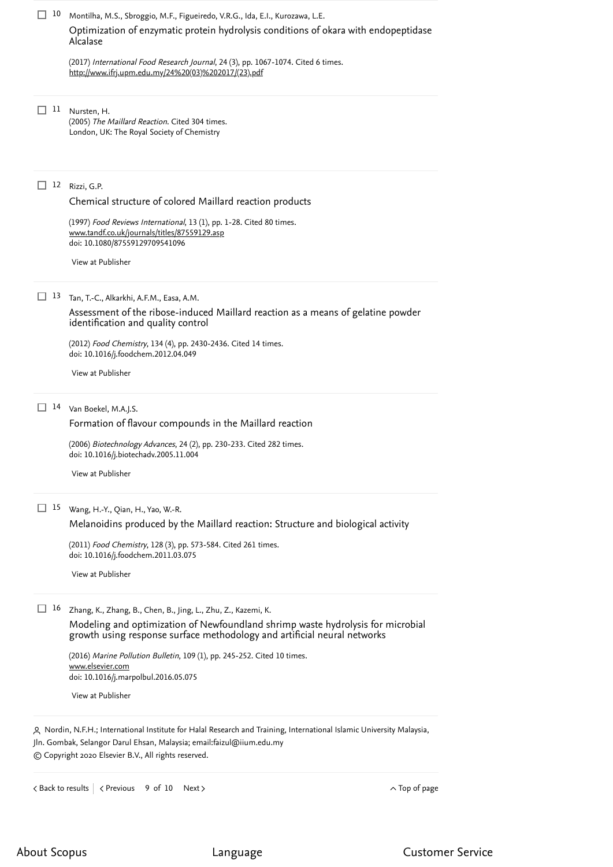<span id="page-3-0"></span>

| 10                | Montilha, M.S., Sbroggio, M.F., Figueiredo, V.R.G., Ida, E.I., Kurozawa, L.E.                                                                                                                                                                                                                                                                                                                                                                                                                                                                                                              |
|-------------------|--------------------------------------------------------------------------------------------------------------------------------------------------------------------------------------------------------------------------------------------------------------------------------------------------------------------------------------------------------------------------------------------------------------------------------------------------------------------------------------------------------------------------------------------------------------------------------------------|
|                   | Optimization of enzymatic protein hydrolysis conditions of okara with endopeptidase<br>Alcalase                                                                                                                                                                                                                                                                                                                                                                                                                                                                                            |
|                   | (2017) International Food Research Journal, 24 (3), pp. 1067-1074. Cited 6 times.<br>http://www.ifrj.upm.edu.my/24%20(03)%202017/(23).pdf                                                                                                                                                                                                                                                                                                                                                                                                                                                  |
| 11<br>$\perp$     | Nursten, H.<br>(2005) The Maillard Reaction. Cited 304 times.<br>London, UK: The Royal Society of Chemistry                                                                                                                                                                                                                                                                                                                                                                                                                                                                                |
| 12                | Rizzi, G.P.<br>Chemical structure of colored Maillard reaction products<br>(1997) Food Reviews International, 13 (1), pp. 1-28. Cited 80 times.<br>www.tandf.co.uk/journals/titles/87559129.asp<br>doi: 10.1080/87559129709541096<br>View at Publisher                                                                                                                                                                                                                                                                                                                                     |
| 13                | Tan, T.-C., Alkarkhi, A.F.M., Easa, A.M.<br>Assessment of the ribose-induced Maillard reaction as a means of gelatine powder<br>identification and quality control<br>(2012) Food Chemistry, 134 (4), pp. 2430-2436. Cited 14 times.<br>doi: 10.1016/j.foodchem.2012.04.049<br>View at Publisher                                                                                                                                                                                                                                                                                           |
|                   | 14 Van Boekel, M.A.J.S.<br>Formation of flavour compounds in the Maillard reaction<br>(2006) Biotechnology Advances, 24 (2), pp. 230-233. Cited 282 times.<br>doi: 10.1016/j.biotechadv.2005.11.004<br>View at Publisher                                                                                                                                                                                                                                                                                                                                                                   |
| $\Box$ 15         | Wang, H.-Y., Qian, H., Yao, W.-R.<br>Melanoidins produced by the Maillard reaction: Structure and biological activity<br>(2011) Food Chemistry, 128 (3), pp. 573-584. Cited 261 times.<br>doi: 10.1016/j.foodchem.2011.03.075<br>View at Publisher                                                                                                                                                                                                                                                                                                                                         |
| 16                | Zhang, K., Zhang, B., Chen, B., Jing, L., Zhu, Z., Kazemi, K.<br>Modeling and optimization of Newfoundland shrimp waste hydrolysis for microbial<br>growth using response surface methodology and artificial neural networks<br>(2016) Marine Pollution Bulletin, 109 (1), pp. 245-252. Cited 10 times.<br>www.elsevier.com<br>doi: 10.1016/j.marpolbul.2016.05.075<br>View at Publisher<br>A Nordin, N.F.H.; International Institute for Halal Research and Training, International Islamic University Malaysia,<br>Jln. Gombak, Selangor Darul Ehsan, Malaysia; email:faizul@iium.edu.my |
|                   | © Copyright 2020 Elsevier B.V., All rights reserved.                                                                                                                                                                                                                                                                                                                                                                                                                                                                                                                                       |
| < Back to results | $\sim$ Top of page<br>< Previous<br>9 of 10<br>Next                                                                                                                                                                                                                                                                                                                                                                                                                                                                                                                                        |